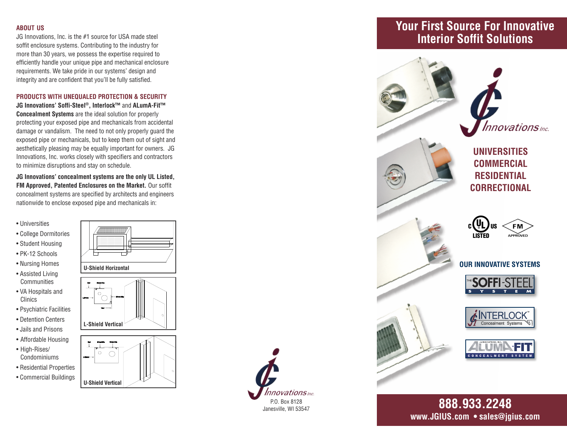#### **ABOUT US**

JG Innovations. Inc. is the  $#1$  source for USA made steel soffit enclosure systems. Contributing to the industry for more than 30 years, we possess the expertise required to efficiently handle your unique pipe and mechanical enclosure requirements. We take pride in our systems' design and integrity and are confident that you'll be fully satisfied.

#### PRODUCTS WITH UNEQUALED PROTECTION & SECURITY

JG Innovations' Soffi-Steel®, Interlock™ and ALumA-Fit™ **Concealment Systems** are the ideal solution for properly protecting your exposed pipe and mechanicals from accidental damage or vandalism. The need to not only properly quard the exposed pipe or mechanicals, but to keep them out of sight and aesthetically pleasing may be equally important for owners. JG Innovations. Inc. works closely with specifiers and contractors to minimize disruptions and stay on schedule.

JG Innovations' concealment systems are the only UL Listed. FM Approved. Patented Enclosures on the Market. Our soffit concealment systems are specified by architects and engineers nationwide to enclose exposed pipe and mechanicals in:

• Universities

- College Dormitories
- Student Housing
- · PK-12 Schools
- Nursing Homes
- Assisted Living Communities
- VA Hospitals and Clinics
- Psychiatric Facilities
- Detention Centers
- Jails and Prisons
- Affordable Housing
- High-Rises/ Condominiums
- Residential Properties
- Commercial Buildings





- **L**-Shield Vertical
- -



**U-Shield Vertical** 



novations <sub>Inc.</sub> P.O. Box 8128 Janesville, WI 53547

## **Your First Source For Innovative lnterior Soffit Solutions**



www.JGIUS.com • sales@igius.com